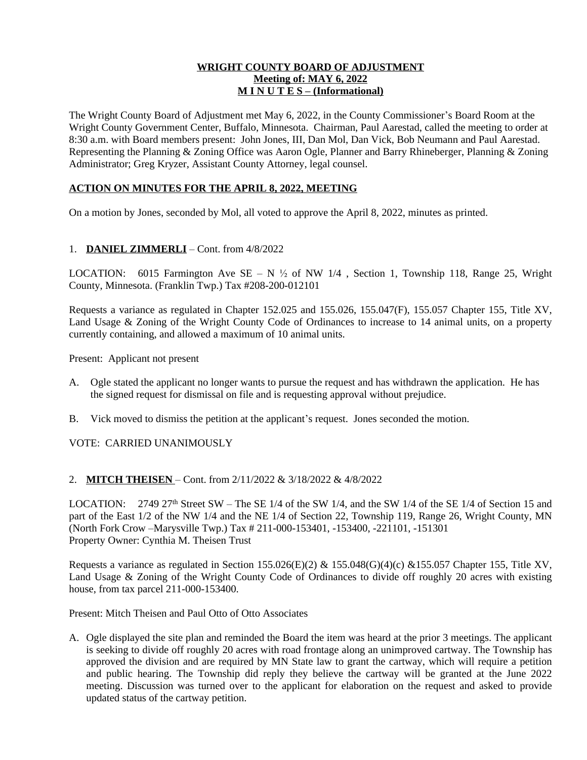### **WRIGHT COUNTY BOARD OF ADJUSTMENT Meeting of: MAY 6, 2022 M I N U T E S – (Informational)**

The Wright County Board of Adjustment met May 6, 2022, in the County Commissioner's Board Room at the Wright County Government Center, Buffalo, Minnesota. Chairman, Paul Aarestad, called the meeting to order at 8:30 a.m. with Board members present: John Jones, III, Dan Mol, Dan Vick, Bob Neumann and Paul Aarestad. Representing the Planning & Zoning Office was Aaron Ogle, Planner and Barry Rhineberger, Planning & Zoning Administrator; Greg Kryzer, Assistant County Attorney, legal counsel.

## **ACTION ON MINUTES FOR THE APRIL 8, 2022, MEETING**

On a motion by Jones, seconded by Mol, all voted to approve the April 8, 2022, minutes as printed.

### 1. **DANIEL ZIMMERLI** – Cont. from 4/8/2022

LOCATION: 6015 Farmington Ave SE – N  $\frac{1}{2}$  of NW 1/4, Section 1, Township 118, Range 25, Wright County, Minnesota. (Franklin Twp.) Tax #208-200-012101

Requests a variance as regulated in Chapter 152.025 and 155.026, 155.047(F), 155.057 Chapter 155, Title XV, Land Usage & Zoning of the Wright County Code of Ordinances to increase to 14 animal units, on a property currently containing, and allowed a maximum of 10 animal units.

Present: Applicant not present

- A. Ogle stated the applicant no longer wants to pursue the request and has withdrawn the application. He has the signed request for dismissal on file and is requesting approval without prejudice.
- B. Vick moved to dismiss the petition at the applicant's request. Jones seconded the motion.

VOTE: CARRIED UNANIMOUSLY

### 2. **MITCH THEISEN** – Cont. from 2/11/2022 & 3/18/2022 & 4/8/2022

LOCATION: 2749 27<sup>th</sup> Street SW – The SE 1/4 of the SW 1/4, and the SW 1/4 of the SE 1/4 of Section 15 and part of the East 1/2 of the NW 1/4 and the NE 1/4 of Section 22, Township 119, Range 26, Wright County, MN (North Fork Crow –Marysville Twp.) Tax # 211-000-153401, -153400, -221101, -151301 Property Owner: Cynthia M. Theisen Trust

Requests a variance as regulated in Section 155.026(E)(2) & 155.048(G)(4)(c) &155.057 Chapter 155, Title XV, Land Usage & Zoning of the Wright County Code of Ordinances to divide off roughly 20 acres with existing house, from tax parcel 211-000-153400.

Present: Mitch Theisen and Paul Otto of Otto Associates

A. Ogle displayed the site plan and reminded the Board the item was heard at the prior 3 meetings. The applicant is seeking to divide off roughly 20 acres with road frontage along an unimproved cartway. The Township has approved the division and are required by MN State law to grant the cartway, which will require a petition and public hearing. The Township did reply they believe the cartway will be granted at the June 2022 meeting. Discussion was turned over to the applicant for elaboration on the request and asked to provide updated status of the cartway petition.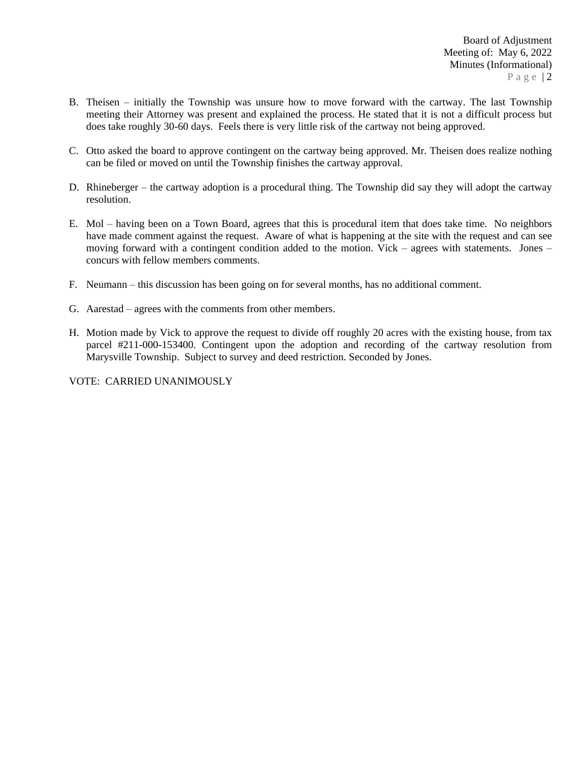- B. Theisen initially the Township was unsure how to move forward with the cartway. The last Township meeting their Attorney was present and explained the process. He stated that it is not a difficult process but does take roughly 30-60 days. Feels there is very little risk of the cartway not being approved.
- C. Otto asked the board to approve contingent on the cartway being approved. Mr. Theisen does realize nothing can be filed or moved on until the Township finishes the cartway approval.
- D. Rhineberger the cartway adoption is a procedural thing. The Township did say they will adopt the cartway resolution.
- E. Mol having been on a Town Board, agrees that this is procedural item that does take time. No neighbors have made comment against the request. Aware of what is happening at the site with the request and can see moving forward with a contingent condition added to the motion. Vick – agrees with statements. Jones – concurs with fellow members comments.
- F. Neumann this discussion has been going on for several months, has no additional comment.
- G. Aarestad agrees with the comments from other members.
- H. Motion made by Vick to approve the request to divide off roughly 20 acres with the existing house, from tax parcel #211-000-153400. Contingent upon the adoption and recording of the cartway resolution from Marysville Township. Subject to survey and deed restriction. Seconded by Jones.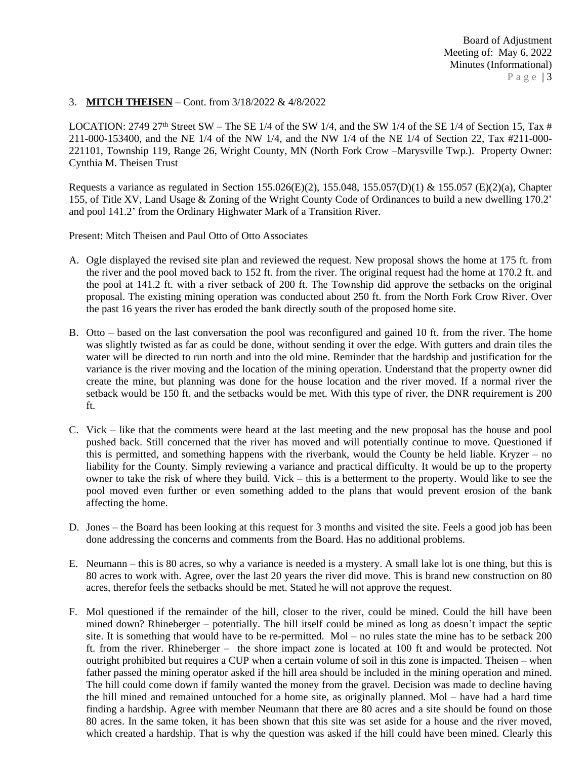## 3. **MITCH THEISEN** – Cont. from 3/18/2022 & 4/8/2022

LOCATION: 2749 27<sup>th</sup> Street SW – The SE 1/4 of the SW 1/4, and the SW 1/4 of the SE 1/4 of Section 15, Tax # 211-000-153400, and the NE 1/4 of the NW 1/4, and the NW 1/4 of the NE 1/4 of Section 22, Tax #211-000- 221101, Township 119, Range 26, Wright County, MN (North Fork Crow –Marysville Twp.). Property Owner: Cynthia M. Theisen Trust

Requests a variance as regulated in Section 155.026(E)(2), 155.048, 155.057(D)(1) & 155.057 (E)(2)(a), Chapter 155, of Title XV, Land Usage & Zoning of the Wright County Code of Ordinances to build a new dwelling 170.2' and pool 141.2' from the Ordinary Highwater Mark of a Transition River.

Present: Mitch Theisen and Paul Otto of Otto Associates

- A. Ogle displayed the revised site plan and reviewed the request. New proposal shows the home at 175 ft. from the river and the pool moved back to 152 ft. from the river. The original request had the home at 170.2 ft. and the pool at 141.2 ft. with a river setback of 200 ft. The Township did approve the setbacks on the original proposal. The existing mining operation was conducted about 250 ft. from the North Fork Crow River. Over the past 16 years the river has eroded the bank directly south of the proposed home site.
- B. Otto based on the last conversation the pool was reconfigured and gained 10 ft. from the river. The home was slightly twisted as far as could be done, without sending it over the edge. With gutters and drain tiles the water will be directed to run north and into the old mine. Reminder that the hardship and justification for the variance is the river moving and the location of the mining operation. Understand that the property owner did create the mine, but planning was done for the house location and the river moved. If a normal river the setback would be 150 ft. and the setbacks would be met. With this type of river, the DNR requirement is 200 ft.
- C. Vick like that the comments were heard at the last meeting and the new proposal has the house and pool pushed back. Still concerned that the river has moved and will potentially continue to move. Questioned if this is permitted, and something happens with the riverbank, would the County be held liable. Kryzer – no liability for the County. Simply reviewing a variance and practical difficulty. It would be up to the property owner to take the risk of where they build. Vick – this is a betterment to the property. Would like to see the pool moved even further or even something added to the plans that would prevent erosion of the bank affecting the home.
- D. Jones the Board has been looking at this request for 3 months and visited the site. Feels a good job has been done addressing the concerns and comments from the Board. Has no additional problems.
- E. Neumann this is 80 acres, so why a variance is needed is a mystery. A small lake lot is one thing, but this is 80 acres to work with. Agree, over the last 20 years the river did move. This is brand new construction on 80 acres, therefor feels the setbacks should be met. Stated he will not approve the request.
- F. Mol questioned if the remainder of the hill, closer to the river, could be mined. Could the hill have been mined down? Rhineberger – potentially. The hill itself could be mined as long as doesn't impact the septic site. It is something that would have to be re-permitted. Mol – no rules state the mine has to be setback 200 ft. from the river. Rhineberger – the shore impact zone is located at 100 ft and would be protected. Not outright prohibited but requires a CUP when a certain volume of soil in this zone is impacted. Theisen – when father passed the mining operator asked if the hill area should be included in the mining operation and mined. The hill could come down if family wanted the money from the gravel. Decision was made to decline having the hill mined and remained untouched for a home site, as originally planned. Mol – have had a hard time finding a hardship. Agree with member Neumann that there are 80 acres and a site should be found on those 80 acres. In the same token, it has been shown that this site was set aside for a house and the river moved, which created a hardship. That is why the question was asked if the hill could have been mined. Clearly this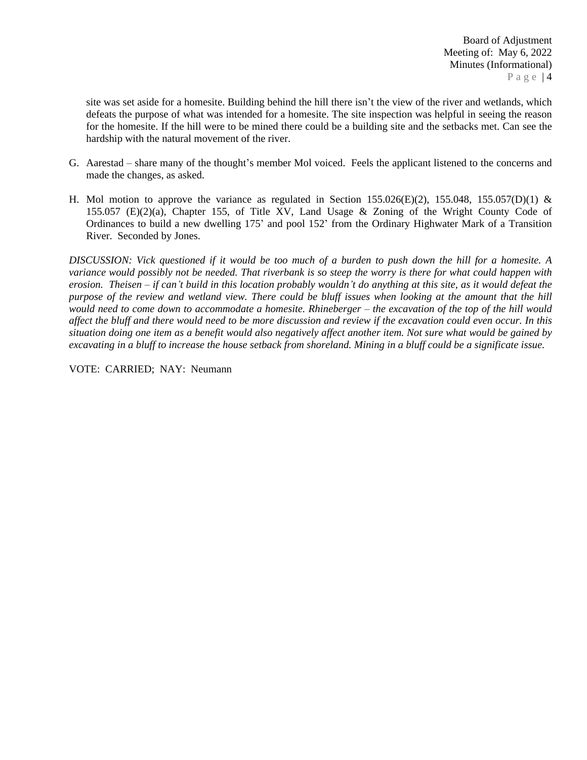site was set aside for a homesite. Building behind the hill there isn't the view of the river and wetlands, which defeats the purpose of what was intended for a homesite. The site inspection was helpful in seeing the reason for the homesite. If the hill were to be mined there could be a building site and the setbacks met. Can see the hardship with the natural movement of the river.

- G. Aarestad share many of the thought's member Mol voiced. Feels the applicant listened to the concerns and made the changes, as asked.
- H. Mol motion to approve the variance as regulated in Section 155.026(E)(2), 155.048, 155.057(D)(1) & 155.057 (E)(2)(a), Chapter 155, of Title XV, Land Usage & Zoning of the Wright County Code of Ordinances to build a new dwelling 175' and pool 152' from the Ordinary Highwater Mark of a Transition River. Seconded by Jones.

DISCUSSION: Vick questioned if it would be too much of a burden to push down the hill for a homesite. A variance would possibly not be needed. That riverbank is so steep the worry is there for what could happen with erosion. Theisen – if can't build in this location probably wouldn't do anything at this site, as it would defeat the purpose of the review and wetland view. There could be bluff issues when looking at the amount that the hill would need to come down to accommodate a homesite. Rhineberger – the excavation of the top of the hill would affect the bluff and there would need to be more discussion and review if the excavation could even occur. In this situation doing one item as a benefit would also negatively affect another item. Not sure what would be gained by *excavating in a bluff to increase the house setback from shoreland. Mining in a bluff could be a significate issue.*

VOTE: CARRIED; NAY: Neumann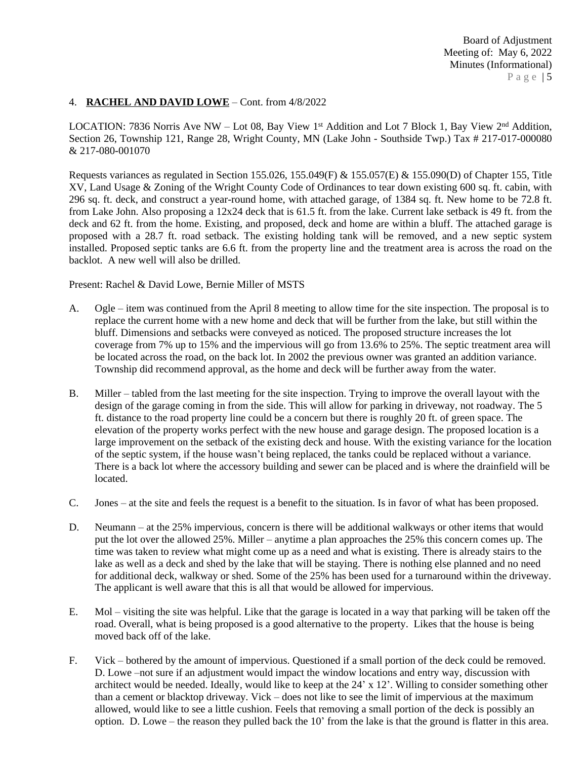### 4. **RACHEL AND DAVID LOWE** – Cont. from 4/8/2022

LOCATION: 7836 Norris Ave NW - Lot 08, Bay View 1<sup>st</sup> Addition and Lot 7 Block 1, Bay View 2<sup>nd</sup> Addition, Section 26, Township 121, Range 28, Wright County, MN (Lake John - Southside Twp.) Tax # 217-017-000080 & 217-080-001070

Requests variances as regulated in Section 155.026, 155.049(F) & 155.057(E) & 155.090(D) of Chapter 155, Title XV, Land Usage & Zoning of the Wright County Code of Ordinances to tear down existing 600 sq. ft. cabin, with 296 sq. ft. deck, and construct a year-round home, with attached garage, of 1384 sq. ft. New home to be 72.8 ft. from Lake John. Also proposing a 12x24 deck that is 61.5 ft. from the lake. Current lake setback is 49 ft. from the deck and 62 ft. from the home. Existing, and proposed, deck and home are within a bluff. The attached garage is proposed with a 28.7 ft. road setback. The existing holding tank will be removed, and a new septic system installed. Proposed septic tanks are 6.6 ft. from the property line and the treatment area is across the road on the backlot. A new well will also be drilled.

Present: Rachel & David Lowe, Bernie Miller of MSTS

- A. Ogle item was continued from the April 8 meeting to allow time for the site inspection. The proposal is to replace the current home with a new home and deck that will be further from the lake, but still within the bluff. Dimensions and setbacks were conveyed as noticed. The proposed structure increases the lot coverage from 7% up to 15% and the impervious will go from 13.6% to 25%. The septic treatment area will be located across the road, on the back lot. In 2002 the previous owner was granted an addition variance. Township did recommend approval, as the home and deck will be further away from the water.
- B. Miller tabled from the last meeting for the site inspection. Trying to improve the overall layout with the design of the garage coming in from the side. This will allow for parking in driveway, not roadway. The 5 ft. distance to the road property line could be a concern but there is roughly 20 ft. of green space. The elevation of the property works perfect with the new house and garage design. The proposed location is a large improvement on the setback of the existing deck and house. With the existing variance for the location of the septic system, if the house wasn't being replaced, the tanks could be replaced without a variance. There is a back lot where the accessory building and sewer can be placed and is where the drainfield will be located.
- C. Jones at the site and feels the request is a benefit to the situation. Is in favor of what has been proposed.
- D. Neumann at the 25% impervious, concern is there will be additional walkways or other items that would put the lot over the allowed 25%. Miller – anytime a plan approaches the 25% this concern comes up. The time was taken to review what might come up as a need and what is existing. There is already stairs to the lake as well as a deck and shed by the lake that will be staying. There is nothing else planned and no need for additional deck, walkway or shed. Some of the 25% has been used for a turnaround within the driveway. The applicant is well aware that this is all that would be allowed for impervious.
- E. Mol visiting the site was helpful. Like that the garage is located in a way that parking will be taken off the road. Overall, what is being proposed is a good alternative to the property. Likes that the house is being moved back off of the lake.
- F. Vick bothered by the amount of impervious. Questioned if a small portion of the deck could be removed. D. Lowe –not sure if an adjustment would impact the window locations and entry way, discussion with architect would be needed. Ideally, would like to keep at the 24' x 12'. Willing to consider something other than a cement or blacktop driveway. Vick – does not like to see the limit of impervious at the maximum allowed, would like to see a little cushion. Feels that removing a small portion of the deck is possibly an option. D. Lowe – the reason they pulled back the 10' from the lake is that the ground is flatter in this area.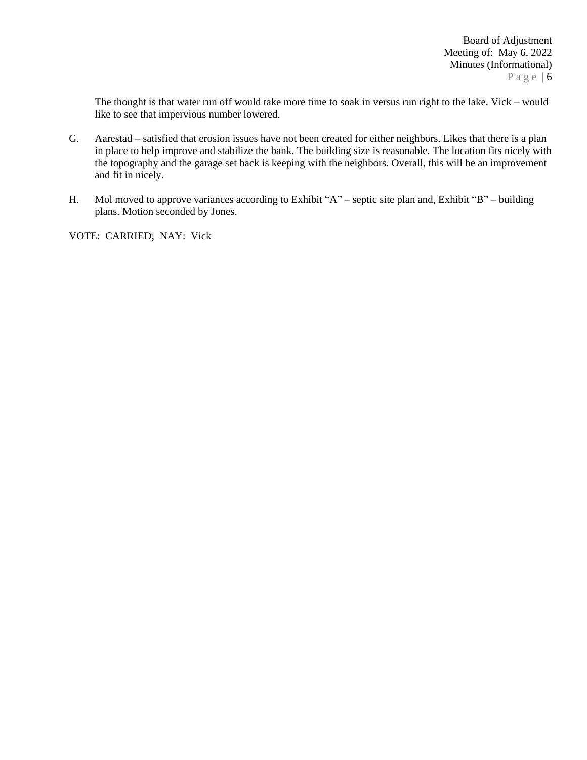The thought is that water run off would take more time to soak in versus run right to the lake. Vick – would like to see that impervious number lowered.

- G. Aarestad satisfied that erosion issues have not been created for either neighbors. Likes that there is a plan in place to help improve and stabilize the bank. The building size is reasonable. The location fits nicely with the topography and the garage set back is keeping with the neighbors. Overall, this will be an improvement and fit in nicely.
- H. Mol moved to approve variances according to Exhibit "A" septic site plan and, Exhibit "B" building plans. Motion seconded by Jones.

VOTE: CARRIED; NAY: Vick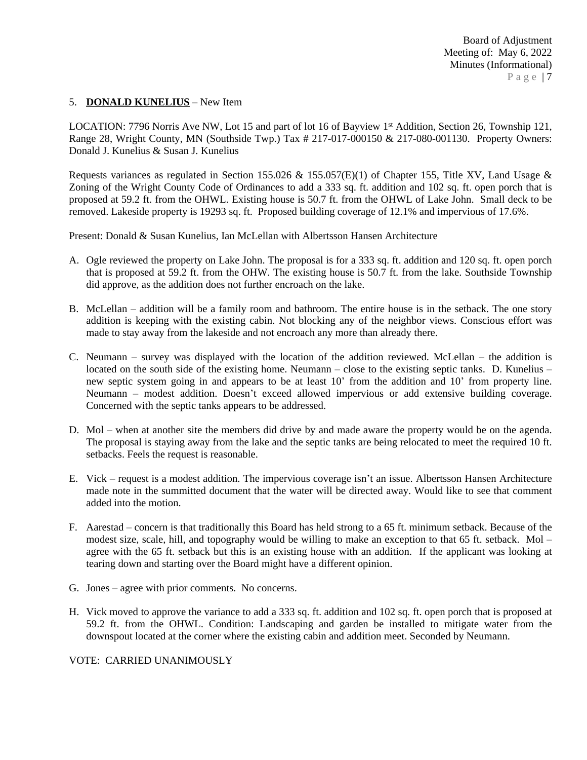#### 5. **DONALD KUNELIUS** – New Item

LOCATION: 7796 Norris Ave NW, Lot 15 and part of lot 16 of Bayview 1st Addition, Section 26, Township 121, Range 28, Wright County, MN (Southside Twp.) Tax # 217-017-000150 & 217-080-001130. Property Owners: Donald J. Kunelius & Susan J. Kunelius

Requests variances as regulated in Section 155.026 & 155.057(E)(1) of Chapter 155, Title XV, Land Usage & Zoning of the Wright County Code of Ordinances to add a 333 sq. ft. addition and 102 sq. ft. open porch that is proposed at 59.2 ft. from the OHWL. Existing house is 50.7 ft. from the OHWL of Lake John. Small deck to be removed. Lakeside property is 19293 sq. ft. Proposed building coverage of 12.1% and impervious of 17.6%.

Present: Donald & Susan Kunelius, Ian McLellan with Albertsson Hansen Architecture

- A. Ogle reviewed the property on Lake John. The proposal is for a 333 sq. ft. addition and 120 sq. ft. open porch that is proposed at 59.2 ft. from the OHW. The existing house is 50.7 ft. from the lake. Southside Township did approve, as the addition does not further encroach on the lake.
- B. McLellan addition will be a family room and bathroom. The entire house is in the setback. The one story addition is keeping with the existing cabin. Not blocking any of the neighbor views. Conscious effort was made to stay away from the lakeside and not encroach any more than already there.
- C. Neumann survey was displayed with the location of the addition reviewed. McLellan the addition is located on the south side of the existing home. Neumann – close to the existing septic tanks. D. Kunelius – new septic system going in and appears to be at least 10' from the addition and 10' from property line. Neumann – modest addition. Doesn't exceed allowed impervious or add extensive building coverage. Concerned with the septic tanks appears to be addressed.
- D. Mol when at another site the members did drive by and made aware the property would be on the agenda. The proposal is staying away from the lake and the septic tanks are being relocated to meet the required 10 ft. setbacks. Feels the request is reasonable.
- E. Vick request is a modest addition. The impervious coverage isn't an issue. Albertsson Hansen Architecture made note in the summitted document that the water will be directed away. Would like to see that comment added into the motion.
- F. Aarestad concern is that traditionally this Board has held strong to a 65 ft. minimum setback. Because of the modest size, scale, hill, and topography would be willing to make an exception to that 65 ft. setback. Mol – agree with the 65 ft. setback but this is an existing house with an addition. If the applicant was looking at tearing down and starting over the Board might have a different opinion.
- G. Jones agree with prior comments. No concerns.
- H. Vick moved to approve the variance to add a 333 sq. ft. addition and 102 sq. ft. open porch that is proposed at 59.2 ft. from the OHWL. Condition: Landscaping and garden be installed to mitigate water from the downspout located at the corner where the existing cabin and addition meet. Seconded by Neumann.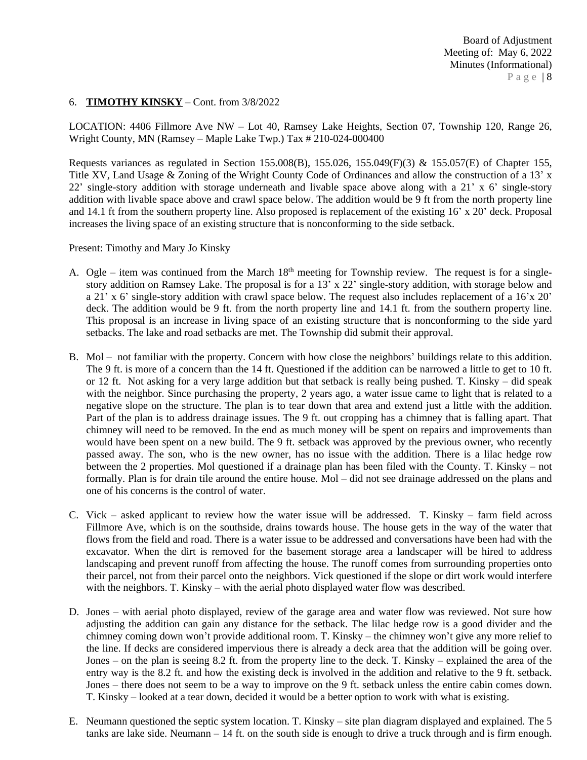## 6. **TIMOTHY KINSKY** – Cont. from 3/8/2022

LOCATION: 4406 Fillmore Ave NW – Lot 40, Ramsey Lake Heights, Section 07, Township 120, Range 26, Wright County, MN (Ramsey – Maple Lake Twp.) Tax # 210-024-000400

Requests variances as regulated in Section 155.008(B), 155.026, 155.049(F)(3) & 155.057(E) of Chapter 155, Title XV, Land Usage & Zoning of the Wright County Code of Ordinances and allow the construction of a 13' x 22' single-story addition with storage underneath and livable space above along with a 21' x 6' single-story addition with livable space above and crawl space below. The addition would be 9 ft from the north property line and 14.1 ft from the southern property line. Also proposed is replacement of the existing 16' x 20' deck. Proposal increases the living space of an existing structure that is nonconforming to the side setback.

Present: Timothy and Mary Jo Kinsky

- A. Ogle item was continued from the March  $18<sup>th</sup>$  meeting for Township review. The request is for a singlestory addition on Ramsey Lake. The proposal is for a 13' x 22' single-story addition, with storage below and a 21' x 6' single-story addition with crawl space below. The request also includes replacement of a 16'x 20' deck. The addition would be 9 ft. from the north property line and 14.1 ft. from the southern property line. This proposal is an increase in living space of an existing structure that is nonconforming to the side yard setbacks. The lake and road setbacks are met. The Township did submit their approval.
- B. Mol not familiar with the property. Concern with how close the neighbors' buildings relate to this addition. The 9 ft. is more of a concern than the 14 ft. Questioned if the addition can be narrowed a little to get to 10 ft. or 12 ft. Not asking for a very large addition but that setback is really being pushed. T. Kinsky – did speak with the neighbor. Since purchasing the property, 2 years ago, a water issue came to light that is related to a negative slope on the structure. The plan is to tear down that area and extend just a little with the addition. Part of the plan is to address drainage issues. The 9 ft. out cropping has a chimney that is falling apart. That chimney will need to be removed. In the end as much money will be spent on repairs and improvements than would have been spent on a new build. The 9 ft. setback was approved by the previous owner, who recently passed away. The son, who is the new owner, has no issue with the addition. There is a lilac hedge row between the 2 properties. Mol questioned if a drainage plan has been filed with the County. T. Kinsky – not formally. Plan is for drain tile around the entire house. Mol – did not see drainage addressed on the plans and one of his concerns is the control of water.
- C. Vick asked applicant to review how the water issue will be addressed. T. Kinsky farm field across Fillmore Ave, which is on the southside, drains towards house. The house gets in the way of the water that flows from the field and road. There is a water issue to be addressed and conversations have been had with the excavator. When the dirt is removed for the basement storage area a landscaper will be hired to address landscaping and prevent runoff from affecting the house. The runoff comes from surrounding properties onto their parcel, not from their parcel onto the neighbors. Vick questioned if the slope or dirt work would interfere with the neighbors. T. Kinsky – with the aerial photo displayed water flow was described.
- D. Jones with aerial photo displayed, review of the garage area and water flow was reviewed. Not sure how adjusting the addition can gain any distance for the setback. The lilac hedge row is a good divider and the chimney coming down won't provide additional room. T. Kinsky – the chimney won't give any more relief to the line. If decks are considered impervious there is already a deck area that the addition will be going over. Jones – on the plan is seeing 8.2 ft. from the property line to the deck. T. Kinsky – explained the area of the entry way is the 8.2 ft. and how the existing deck is involved in the addition and relative to the 9 ft. setback. Jones – there does not seem to be a way to improve on the 9 ft. setback unless the entire cabin comes down. T. Kinsky – looked at a tear down, decided it would be a better option to work with what is existing.
- E. Neumann questioned the septic system location. T. Kinsky site plan diagram displayed and explained. The 5 tanks are lake side. Neumann – 14 ft. on the south side is enough to drive a truck through and is firm enough.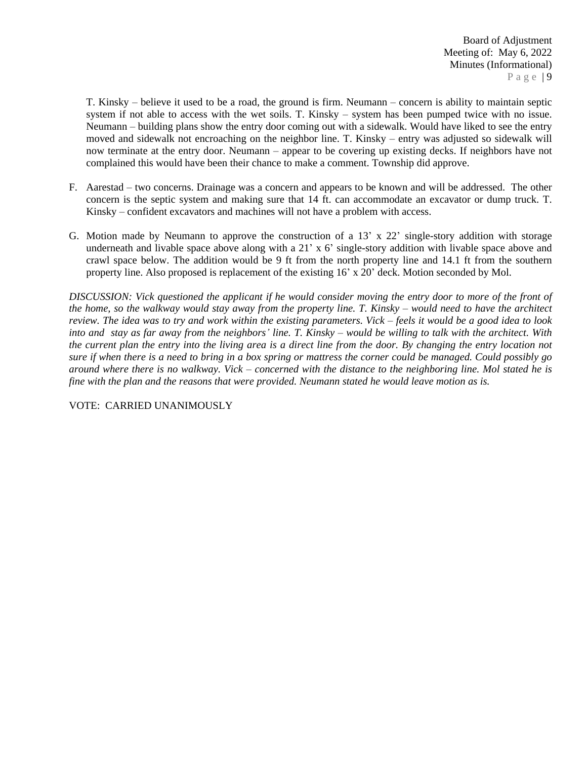T. Kinsky – believe it used to be a road, the ground is firm. Neumann – concern is ability to maintain septic system if not able to access with the wet soils. T. Kinsky – system has been pumped twice with no issue. Neumann – building plans show the entry door coming out with a sidewalk. Would have liked to see the entry moved and sidewalk not encroaching on the neighbor line. T. Kinsky – entry was adjusted so sidewalk will now terminate at the entry door. Neumann – appear to be covering up existing decks. If neighbors have not complained this would have been their chance to make a comment. Township did approve.

- F. Aarestad two concerns. Drainage was a concern and appears to be known and will be addressed. The other concern is the septic system and making sure that 14 ft. can accommodate an excavator or dump truck. T. Kinsky – confident excavators and machines will not have a problem with access.
- G. Motion made by Neumann to approve the construction of a 13' x 22' single-story addition with storage underneath and livable space above along with a 21' x 6' single-story addition with livable space above and crawl space below. The addition would be 9 ft from the north property line and 14.1 ft from the southern property line. Also proposed is replacement of the existing 16' x 20' deck. Motion seconded by Mol.

DISCUSSION: Vick questioned the applicant if he would consider moving the entry door to more of the front of the home, so the walkway would stay away from the property line. T. Kinsky – would need to have the architect review. The idea was to try and work within the existing parameters. Vick  $-$  feels it would be a good idea to look into and stay as far away from the neighbors' line. T. Kinsky – would be willing to talk with the architect. With the current plan the entry into the living area is a direct line from the door. By changing the entry location not sure if when there is a need to bring in a box spring or mattress the corner could be managed. Could possibly go around where there is no walkway. Vick – concerned with the distance to the neighboring line. Mol stated he is *fine with the plan and the reasons that were provided. Neumann stated he would leave motion as is.*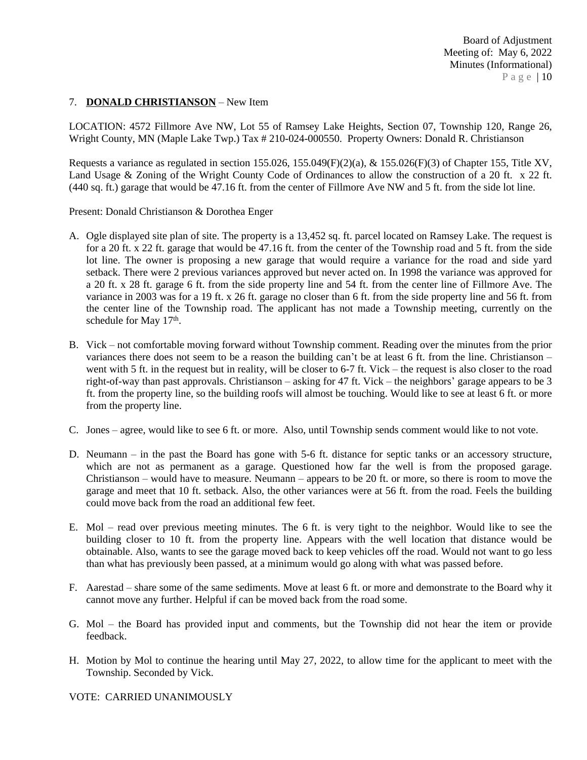## 7. **DONALD CHRISTIANSON** – New Item

LOCATION: 4572 Fillmore Ave NW, Lot 55 of Ramsey Lake Heights, Section 07, Township 120, Range 26, Wright County, MN (Maple Lake Twp.) Tax # 210-024-000550. Property Owners: Donald R. Christianson

Requests a variance as regulated in section 155.026, 155.049(F)(2)(a), & 155.026(F)(3) of Chapter 155, Title XV, Land Usage & Zoning of the Wright County Code of Ordinances to allow the construction of a 20 ft. x 22 ft. (440 sq. ft.) garage that would be 47.16 ft. from the center of Fillmore Ave NW and 5 ft. from the side lot line.

Present: Donald Christianson & Dorothea Enger

- A. Ogle displayed site plan of site. The property is a 13,452 sq. ft. parcel located on Ramsey Lake. The request is for a 20 ft. x 22 ft. garage that would be 47.16 ft. from the center of the Township road and 5 ft. from the side lot line. The owner is proposing a new garage that would require a variance for the road and side yard setback. There were 2 previous variances approved but never acted on. In 1998 the variance was approved for a 20 ft. x 28 ft. garage 6 ft. from the side property line and 54 ft. from the center line of Fillmore Ave. The variance in 2003 was for a 19 ft. x 26 ft. garage no closer than 6 ft. from the side property line and 56 ft. from the center line of the Township road. The applicant has not made a Township meeting, currently on the schedule for May 17<sup>th</sup>.
- B. Vick not comfortable moving forward without Township comment. Reading over the minutes from the prior variances there does not seem to be a reason the building can't be at least 6 ft. from the line. Christianson – went with 5 ft. in the request but in reality, will be closer to 6-7 ft. Vick – the request is also closer to the road right-of-way than past approvals. Christianson – asking for 47 ft. Vick – the neighbors' garage appears to be 3 ft. from the property line, so the building roofs will almost be touching. Would like to see at least 6 ft. or more from the property line.
- C. Jones agree, would like to see 6 ft. or more. Also, until Township sends comment would like to not vote.
- D. Neumann in the past the Board has gone with 5-6 ft. distance for septic tanks or an accessory structure, which are not as permanent as a garage. Questioned how far the well is from the proposed garage. Christianson – would have to measure. Neumann – appears to be 20 ft. or more, so there is room to move the garage and meet that 10 ft. setback. Also, the other variances were at 56 ft. from the road. Feels the building could move back from the road an additional few feet.
- E. Mol read over previous meeting minutes. The 6 ft. is very tight to the neighbor. Would like to see the building closer to 10 ft. from the property line. Appears with the well location that distance would be obtainable. Also, wants to see the garage moved back to keep vehicles off the road. Would not want to go less than what has previously been passed, at a minimum would go along with what was passed before.
- F. Aarestad share some of the same sediments. Move at least 6 ft. or more and demonstrate to the Board why it cannot move any further. Helpful if can be moved back from the road some.
- G. Mol the Board has provided input and comments, but the Township did not hear the item or provide feedback.
- H. Motion by Mol to continue the hearing until May 27, 2022, to allow time for the applicant to meet with the Township. Seconded by Vick.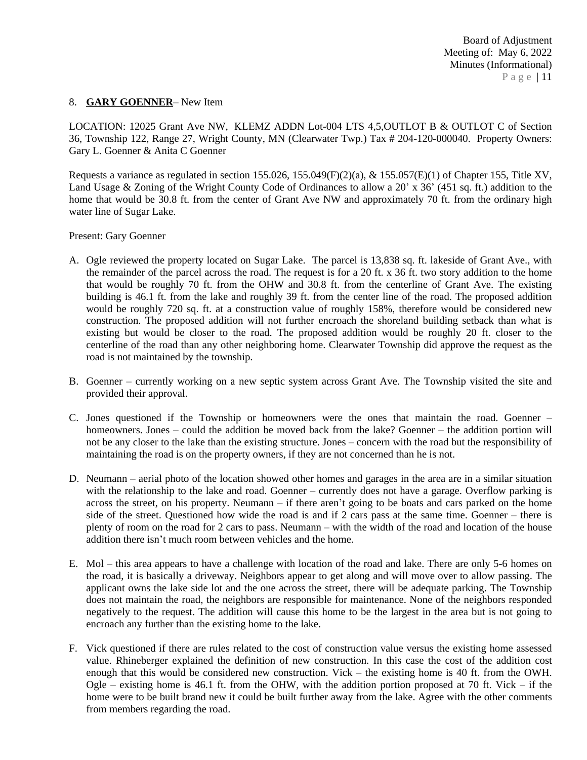#### 8. **GARY GOENNER**– New Item

LOCATION: 12025 Grant Ave NW, KLEMZ ADDN Lot-004 LTS 4,5,OUTLOT B & OUTLOT C of Section 36, Township 122, Range 27, Wright County, MN (Clearwater Twp.) Tax # 204-120-000040. Property Owners: Gary L. Goenner & Anita C Goenner

Requests a variance as regulated in section 155.026, 155.049(F)(2)(a), & 155.057(E)(1) of Chapter 155, Title XV, Land Usage & Zoning of the Wright County Code of Ordinances to allow a 20' x 36' (451 sq. ft.) addition to the home that would be 30.8 ft. from the center of Grant Ave NW and approximately 70 ft. from the ordinary high water line of Sugar Lake.

Present: Gary Goenner

- A. Ogle reviewed the property located on Sugar Lake. The parcel is 13,838 sq. ft. lakeside of Grant Ave., with the remainder of the parcel across the road. The request is for a 20 ft. x 36 ft. two story addition to the home that would be roughly 70 ft. from the OHW and 30.8 ft. from the centerline of Grant Ave. The existing building is 46.1 ft. from the lake and roughly 39 ft. from the center line of the road. The proposed addition would be roughly 720 sq. ft. at a construction value of roughly 158%, therefore would be considered new construction. The proposed addition will not further encroach the shoreland building setback than what is existing but would be closer to the road. The proposed addition would be roughly 20 ft. closer to the centerline of the road than any other neighboring home. Clearwater Township did approve the request as the road is not maintained by the township.
- B. Goenner currently working on a new septic system across Grant Ave. The Township visited the site and provided their approval.
- C. Jones questioned if the Township or homeowners were the ones that maintain the road. Goenner homeowners. Jones – could the addition be moved back from the lake? Goenner – the addition portion will not be any closer to the lake than the existing structure. Jones – concern with the road but the responsibility of maintaining the road is on the property owners, if they are not concerned than he is not.
- D. Neumann aerial photo of the location showed other homes and garages in the area are in a similar situation with the relationship to the lake and road. Goenner – currently does not have a garage. Overflow parking is across the street, on his property. Neumann – if there aren't going to be boats and cars parked on the home side of the street. Questioned how wide the road is and if 2 cars pass at the same time. Goenner – there is plenty of room on the road for 2 cars to pass. Neumann – with the width of the road and location of the house addition there isn't much room between vehicles and the home.
- E. Mol this area appears to have a challenge with location of the road and lake. There are only 5-6 homes on the road, it is basically a driveway. Neighbors appear to get along and will move over to allow passing. The applicant owns the lake side lot and the one across the street, there will be adequate parking. The Township does not maintain the road, the neighbors are responsible for maintenance. None of the neighbors responded negatively to the request. The addition will cause this home to be the largest in the area but is not going to encroach any further than the existing home to the lake.
- F. Vick questioned if there are rules related to the cost of construction value versus the existing home assessed value. Rhineberger explained the definition of new construction. In this case the cost of the addition cost enough that this would be considered new construction. Vick – the existing home is 40 ft. from the OWH. Ogle – existing home is 46.1 ft. from the OHW, with the addition portion proposed at 70 ft. Vick – if the home were to be built brand new it could be built further away from the lake. Agree with the other comments from members regarding the road.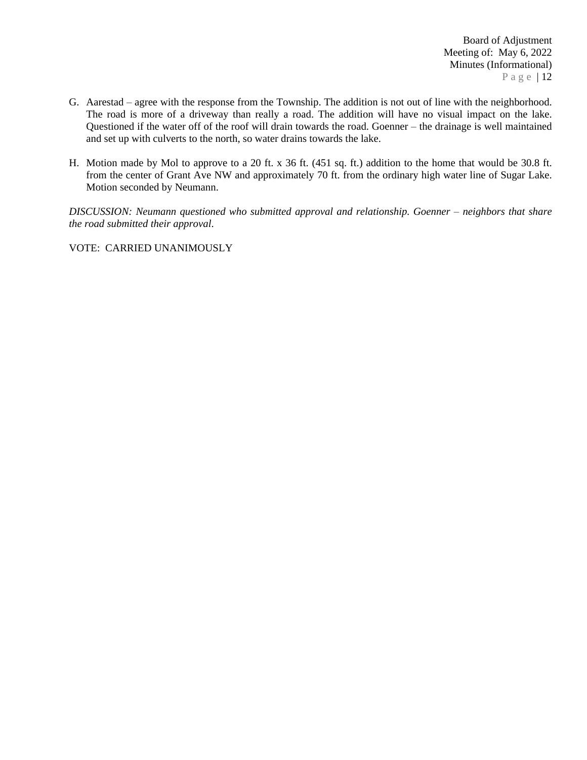- G. Aarestad agree with the response from the Township. The addition is not out of line with the neighborhood. The road is more of a driveway than really a road. The addition will have no visual impact on the lake. Questioned if the water off of the roof will drain towards the road. Goenner – the drainage is well maintained and set up with culverts to the north, so water drains towards the lake.
- H. Motion made by Mol to approve to a 20 ft. x 36 ft. (451 sq. ft.) addition to the home that would be 30.8 ft. from the center of Grant Ave NW and approximately 70 ft. from the ordinary high water line of Sugar Lake. Motion seconded by Neumann.

*DISCUSSION: Neumann questioned who submitted approval and relationship. Goenner – neighbors that share the road submitted their approval*.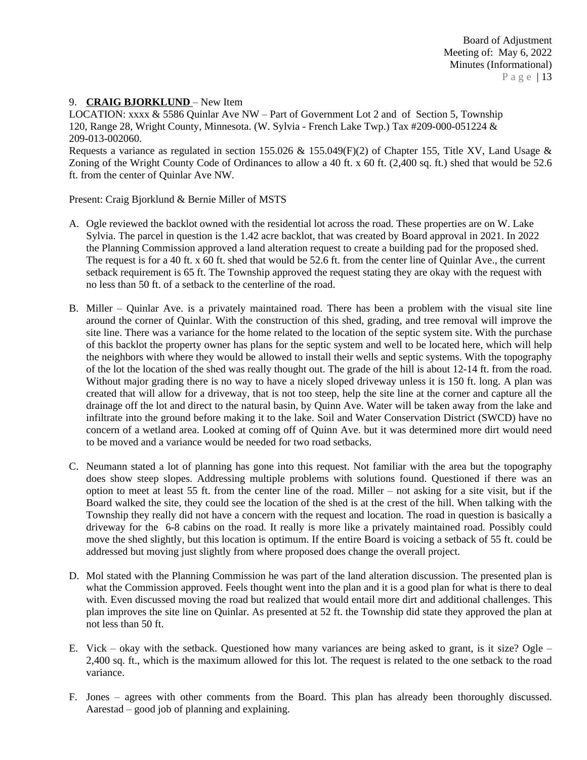### 9. **CRAIG BJORKLUND** – New Item

LOCATION: xxxx & 5586 Quinlar Ave NW – Part of Government Lot 2 and of Section 5, Township 120, Range 28, Wright County, Minnesota. (W. Sylvia - French Lake Twp.) Tax #209-000-051224 & 209-013-002060.

Requests a variance as regulated in section 155.026 & 155.049(F)(2) of Chapter 155, Title XV, Land Usage & Zoning of the Wright County Code of Ordinances to allow a 40 ft. x 60 ft. (2,400 sq. ft.) shed that would be 52.6 ft. from the center of Quinlar Ave NW.

Present: Craig Bjorklund & Bernie Miller of MSTS

- A. Ogle reviewed the backlot owned with the residential lot across the road. These properties are on W. Lake Sylvia. The parcel in question is the 1.42 acre backlot, that was created by Board approval in 2021. In 2022 the Planning Commission approved a land alteration request to create a building pad for the proposed shed. The request is for a 40 ft. x 60 ft. shed that would be 52.6 ft. from the center line of Quinlar Ave., the current setback requirement is 65 ft. The Township approved the request stating they are okay with the request with no less than 50 ft. of a setback to the centerline of the road.
- B. Miller Quinlar Ave. is a privately maintained road. There has been a problem with the visual site line around the corner of Quinlar. With the construction of this shed, grading, and tree removal will improve the site line. There was a variance for the home related to the location of the septic system site. With the purchase of this backlot the property owner has plans for the septic system and well to be located here, which will help the neighbors with where they would be allowed to install their wells and septic systems. With the topography of the lot the location of the shed was really thought out. The grade of the hill is about 12-14 ft. from the road. Without major grading there is no way to have a nicely sloped driveway unless it is 150 ft. long. A plan was created that will allow for a driveway, that is not too steep, help the site line at the corner and capture all the drainage off the lot and direct to the natural basin, by Quinn Ave. Water will be taken away from the lake and infiltrate into the ground before making it to the lake. Soil and Water Conservation District (SWCD) have no concern of a wetland area. Looked at coming off of Quinn Ave. but it was determined more dirt would need to be moved and a variance would be needed for two road setbacks.
- C. Neumann stated a lot of planning has gone into this request. Not familiar with the area but the topography does show steep slopes. Addressing multiple problems with solutions found. Questioned if there was an option to meet at least 55 ft. from the center line of the road. Miller – not asking for a site visit, but if the Board walked the site, they could see the location of the shed is at the crest of the hill. When talking with the Township they really did not have a concern with the request and location. The road in question is basically a driveway for the 6-8 cabins on the road. It really is more like a privately maintained road. Possibly could move the shed slightly, but this location is optimum. If the entire Board is voicing a setback of 55 ft. could be addressed but moving just slightly from where proposed does change the overall project.
- D. Mol stated with the Planning Commission he was part of the land alteration discussion. The presented plan is what the Commission approved. Feels thought went into the plan and it is a good plan for what is there to deal with. Even discussed moving the road but realized that would entail more dirt and additional challenges. This plan improves the site line on Quinlar. As presented at 52 ft. the Township did state they approved the plan at not less than 50 ft.
- E. Vick okay with the setback. Questioned how many variances are being asked to grant, is it size? Ogle 2,400 sq. ft., which is the maximum allowed for this lot. The request is related to the one setback to the road variance.
- F. Jones agrees with other comments from the Board. This plan has already been thoroughly discussed. Aarestad – good job of planning and explaining.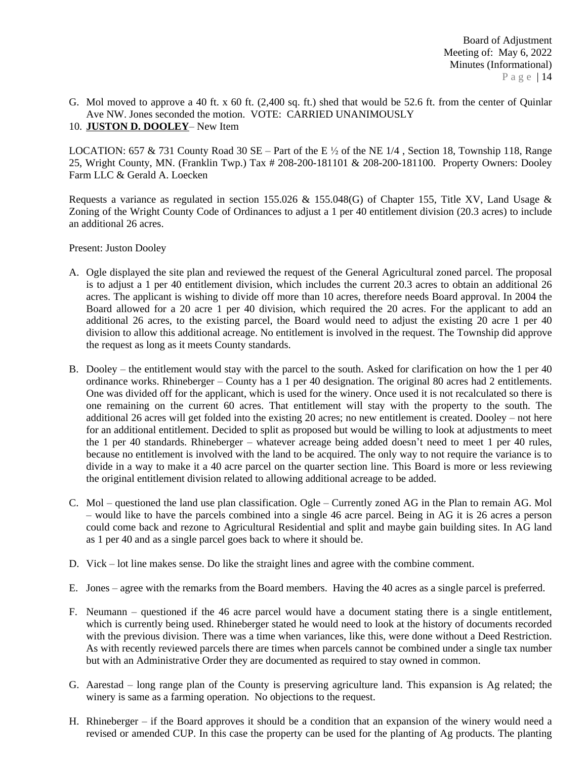G. Mol moved to approve a 40 ft. x 60 ft. (2,400 sq. ft.) shed that would be 52.6 ft. from the center of Quinlar Ave NW. Jones seconded the motion. VOTE: CARRIED UNANIMOUSLY 10. **JUSTON D. DOOLEY**– New Item

LOCATION: 657 & 731 County Road 30 SE – Part of the E  $\frac{1}{2}$  of the NE 1/4, Section 18, Township 118, Range 25, Wright County, MN. (Franklin Twp.) Tax # 208-200-181101 & 208-200-181100. Property Owners: Dooley Farm LLC & Gerald A. Loecken

Requests a variance as regulated in section 155.026 & 155.048(G) of Chapter 155, Title XV, Land Usage & Zoning of the Wright County Code of Ordinances to adjust a 1 per 40 entitlement division (20.3 acres) to include an additional 26 acres.

Present: Juston Dooley

- A. Ogle displayed the site plan and reviewed the request of the General Agricultural zoned parcel. The proposal is to adjust a 1 per 40 entitlement division, which includes the current 20.3 acres to obtain an additional 26 acres. The applicant is wishing to divide off more than 10 acres, therefore needs Board approval. In 2004 the Board allowed for a 20 acre 1 per 40 division, which required the 20 acres. For the applicant to add an additional 26 acres, to the existing parcel, the Board would need to adjust the existing 20 acre 1 per 40 division to allow this additional acreage. No entitlement is involved in the request. The Township did approve the request as long as it meets County standards.
- B. Dooley the entitlement would stay with the parcel to the south. Asked for clarification on how the 1 per 40 ordinance works. Rhineberger – County has a 1 per 40 designation. The original 80 acres had 2 entitlements. One was divided off for the applicant, which is used for the winery. Once used it is not recalculated so there is one remaining on the current 60 acres. That entitlement will stay with the property to the south. The additional 26 acres will get folded into the existing 20 acres; no new entitlement is created. Dooley – not here for an additional entitlement. Decided to split as proposed but would be willing to look at adjustments to meet the 1 per 40 standards. Rhineberger – whatever acreage being added doesn't need to meet 1 per 40 rules, because no entitlement is involved with the land to be acquired. The only way to not require the variance is to divide in a way to make it a 40 acre parcel on the quarter section line. This Board is more or less reviewing the original entitlement division related to allowing additional acreage to be added.
- C. Mol questioned the land use plan classification. Ogle Currently zoned AG in the Plan to remain AG. Mol – would like to have the parcels combined into a single 46 acre parcel. Being in AG it is 26 acres a person could come back and rezone to Agricultural Residential and split and maybe gain building sites. In AG land as 1 per 40 and as a single parcel goes back to where it should be.
- D. Vick lot line makes sense. Do like the straight lines and agree with the combine comment.
- E. Jones agree with the remarks from the Board members. Having the 40 acres as a single parcel is preferred.
- F. Neumann questioned if the 46 acre parcel would have a document stating there is a single entitlement, which is currently being used. Rhineberger stated he would need to look at the history of documents recorded with the previous division. There was a time when variances, like this, were done without a Deed Restriction. As with recently reviewed parcels there are times when parcels cannot be combined under a single tax number but with an Administrative Order they are documented as required to stay owned in common.
- G. Aarestad long range plan of the County is preserving agriculture land. This expansion is Ag related; the winery is same as a farming operation. No objections to the request.
- H. Rhineberger if the Board approves it should be a condition that an expansion of the winery would need a revised or amended CUP. In this case the property can be used for the planting of Ag products. The planting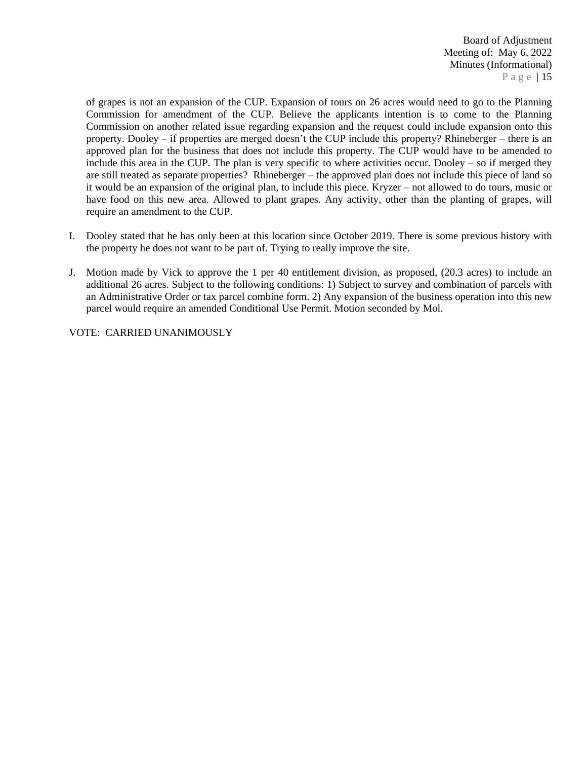of grapes is not an expansion of the CUP. Expansion of tours on 26 acres would need to go to the Planning Commission for amendment of the CUP. Believe the applicants intention is to come to the Planning Commission on another related issue regarding expansion and the request could include expansion onto this property. Dooley – if properties are merged doesn't the CUP include this property? Rhineberger – there is an approved plan for the business that does not include this property. The CUP would have to be amended to include this area in the CUP. The plan is very specific to where activities occur. Dooley – so if merged they are still treated as separate properties? Rhineberger – the approved plan does not include this piece of land so it would be an expansion of the original plan, to include this piece. Kryzer – not allowed to do tours, music or have food on this new area. Allowed to plant grapes. Any activity, other than the planting of grapes, will require an amendment to the CUP.

- I. Dooley stated that he has only been at this location since October 2019. There is some previous history with the property he does not want to be part of. Trying to really improve the site.
- J. Motion made by Vick to approve the 1 per 40 entitlement division, as proposed, (20.3 acres) to include an additional 26 acres. Subject to the following conditions: 1) Subject to survey and combination of parcels with an Administrative Order or tax parcel combine form. 2) Any expansion of the business operation into this new parcel would require an amended Conditional Use Permit. Motion seconded by Mol.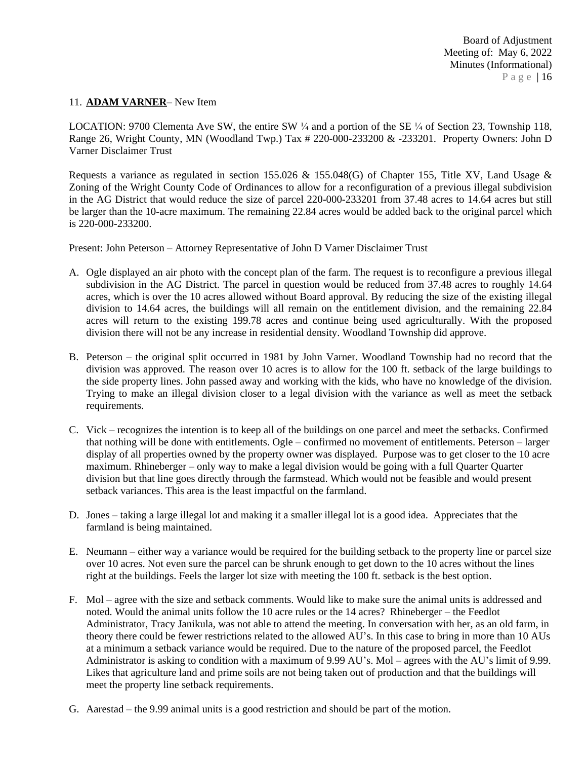#### 11. **ADAM VARNER**– New Item

LOCATION: 9700 Clementa Ave SW, the entire SW  $\frac{1}{4}$  and a portion of the SE  $\frac{1}{4}$  of Section 23, Township 118, Range 26, Wright County, MN (Woodland Twp.) Tax # 220-000-233200 & -233201. Property Owners: John D Varner Disclaimer Trust

Requests a variance as regulated in section 155.026 & 155.048(G) of Chapter 155, Title XV, Land Usage & Zoning of the Wright County Code of Ordinances to allow for a reconfiguration of a previous illegal subdivision in the AG District that would reduce the size of parcel 220-000-233201 from 37.48 acres to 14.64 acres but still be larger than the 10-acre maximum. The remaining 22.84 acres would be added back to the original parcel which is 220-000-233200.

Present: John Peterson – Attorney Representative of John D Varner Disclaimer Trust

- A. Ogle displayed an air photo with the concept plan of the farm. The request is to reconfigure a previous illegal subdivision in the AG District. The parcel in question would be reduced from 37.48 acres to roughly 14.64 acres, which is over the 10 acres allowed without Board approval. By reducing the size of the existing illegal division to 14.64 acres, the buildings will all remain on the entitlement division, and the remaining 22.84 acres will return to the existing 199.78 acres and continue being used agriculturally. With the proposed division there will not be any increase in residential density. Woodland Township did approve.
- B. Peterson the original split occurred in 1981 by John Varner. Woodland Township had no record that the division was approved. The reason over 10 acres is to allow for the 100 ft. setback of the large buildings to the side property lines. John passed away and working with the kids, who have no knowledge of the division. Trying to make an illegal division closer to a legal division with the variance as well as meet the setback requirements.
- C. Vick recognizes the intention is to keep all of the buildings on one parcel and meet the setbacks. Confirmed that nothing will be done with entitlements. Ogle – confirmed no movement of entitlements. Peterson – larger display of all properties owned by the property owner was displayed. Purpose was to get closer to the 10 acre maximum. Rhineberger – only way to make a legal division would be going with a full Quarter Quarter division but that line goes directly through the farmstead. Which would not be feasible and would present setback variances. This area is the least impactful on the farmland.
- D. Jones taking a large illegal lot and making it a smaller illegal lot is a good idea. Appreciates that the farmland is being maintained.
- E. Neumann either way a variance would be required for the building setback to the property line or parcel size over 10 acres. Not even sure the parcel can be shrunk enough to get down to the 10 acres without the lines right at the buildings. Feels the larger lot size with meeting the 100 ft. setback is the best option.
- F. Mol agree with the size and setback comments. Would like to make sure the animal units is addressed and noted. Would the animal units follow the 10 acre rules or the 14 acres? Rhineberger – the Feedlot Administrator, Tracy Janikula, was not able to attend the meeting. In conversation with her, as an old farm, in theory there could be fewer restrictions related to the allowed AU's. In this case to bring in more than 10 AUs at a minimum a setback variance would be required. Due to the nature of the proposed parcel, the Feedlot Administrator is asking to condition with a maximum of 9.99 AU's. Mol – agrees with the AU's limit of 9.99. Likes that agriculture land and prime soils are not being taken out of production and that the buildings will meet the property line setback requirements.
- G. Aarestad the 9.99 animal units is a good restriction and should be part of the motion.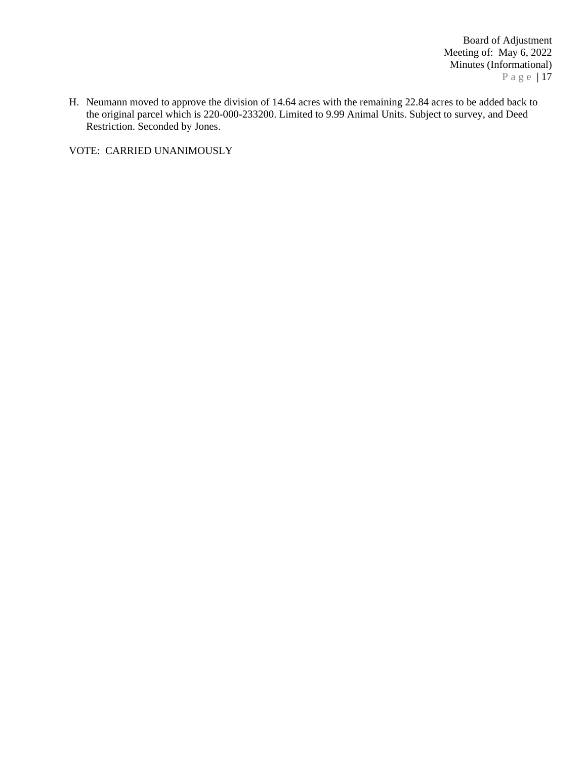Board of Adjustment Meeting of: May 6, 2022 Minutes (Informational) P a g e | 17

H. Neumann moved to approve the division of 14.64 acres with the remaining 22.84 acres to be added back to the original parcel which is 220-000-233200. Limited to 9.99 Animal Units. Subject to survey, and Deed Restriction. Seconded by Jones.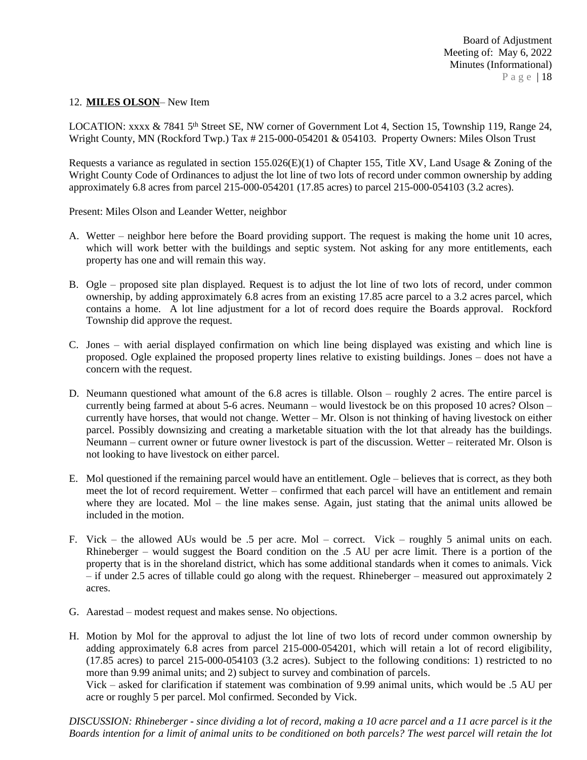#### 12. **MILES OLSON**– New Item

LOCATION: xxxx & 7841 5<sup>th</sup> Street SE, NW corner of Government Lot 4, Section 15, Township 119, Range 24, Wright County, MN (Rockford Twp.) Tax # 215-000-054201 & 054103. Property Owners: Miles Olson Trust

Requests a variance as regulated in section 155.026(E)(1) of Chapter 155, Title XV, Land Usage & Zoning of the Wright County Code of Ordinances to adjust the lot line of two lots of record under common ownership by adding approximately 6.8 acres from parcel 215-000-054201 (17.85 acres) to parcel 215-000-054103 (3.2 acres).

Present: Miles Olson and Leander Wetter, neighbor

- A. Wetter neighbor here before the Board providing support. The request is making the home unit 10 acres, which will work better with the buildings and septic system. Not asking for any more entitlements, each property has one and will remain this way.
- B. Ogle proposed site plan displayed. Request is to adjust the lot line of two lots of record, under common ownership, by adding approximately 6.8 acres from an existing 17.85 acre parcel to a 3.2 acres parcel, which contains a home. A lot line adjustment for a lot of record does require the Boards approval. Rockford Township did approve the request.
- C. Jones with aerial displayed confirmation on which line being displayed was existing and which line is proposed. Ogle explained the proposed property lines relative to existing buildings. Jones – does not have a concern with the request.
- D. Neumann questioned what amount of the 6.8 acres is tillable. Olson roughly 2 acres. The entire parcel is currently being farmed at about 5-6 acres. Neumann – would livestock be on this proposed 10 acres? Olson – currently have horses, that would not change. Wetter – Mr. Olson is not thinking of having livestock on either parcel. Possibly downsizing and creating a marketable situation with the lot that already has the buildings. Neumann – current owner or future owner livestock is part of the discussion. Wetter – reiterated Mr. Olson is not looking to have livestock on either parcel.
- E. Mol questioned if the remaining parcel would have an entitlement. Ogle believes that is correct, as they both meet the lot of record requirement. Wetter – confirmed that each parcel will have an entitlement and remain where they are located. Mol – the line makes sense. Again, just stating that the animal units allowed be included in the motion.
- F. Vick the allowed AUs would be .5 per acre. Mol correct. Vick roughly 5 animal units on each. Rhineberger – would suggest the Board condition on the .5 AU per acre limit. There is a portion of the property that is in the shoreland district, which has some additional standards when it comes to animals. Vick – if under 2.5 acres of tillable could go along with the request. Rhineberger – measured out approximately 2 acres.
- G. Aarestad modest request and makes sense. No objections.
- H. Motion by Mol for the approval to adjust the lot line of two lots of record under common ownership by adding approximately 6.8 acres from parcel 215-000-054201, which will retain a lot of record eligibility, (17.85 acres) to parcel 215-000-054103 (3.2 acres). Subject to the following conditions: 1) restricted to no more than 9.99 animal units; and 2) subject to survey and combination of parcels.

Vick – asked for clarification if statement was combination of 9.99 animal units, which would be .5 AU per acre or roughly 5 per parcel. Mol confirmed. Seconded by Vick.

DISCUSSION: Rhineberger - since dividing a lot of record, making a 10 acre parcel and a 11 acre parcel is it the Boards intention for a limit of animal units to be conditioned on both parcels? The west parcel will retain the lot